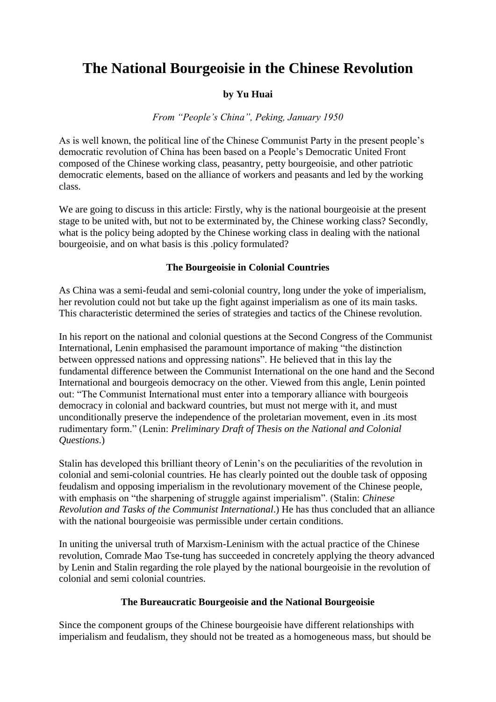# **The National Bourgeoisie in the Chinese Revolution**

## **by Yu Huai**

*From "People's China", Peking, January 1950*

As is well known, the political line of the Chinese Communist Party in the present people's democratic revolution of China has been based on a People's Democratic United Front composed of the Chinese working class, peasantry, petty bourgeoisie, and other patriotic democratic elements, based on the alliance of workers and peasants and led by the working class.

We are going to discuss in this article: Firstly, why is the national bourgeoisie at the present stage to be united with, but not to be exterminated by, the Chinese working class? Secondly, what is the policy being adopted by the Chinese working class in dealing with the national bourgeoisie, and on what basis is this .policy formulated?

#### **The Bourgeoisie in Colonial Countries**

As China was a semi-feudal and semi-colonial country, long under the yoke of imperialism, her revolution could not but take up the fight against imperialism as one of its main tasks. This characteristic determined the series of strategies and tactics of the Chinese revolution.

In his report on the national and colonial questions at the Second Congress of the Communist International, Lenin emphasised the paramount importance of making "the distinction between oppressed nations and oppressing nations". He believed that in this lay the fundamental difference between the Communist International on the one hand and the Second International and bourgeois democracy on the other. Viewed from this angle, Lenin pointed out: "The Communist International must enter into a temporary alliance with bourgeois democracy in colonial and backward countries, but must not merge with it, and must unconditionally preserve the independence of the proletarian movement, even in .its most rudimentary form." (Lenin: *Preliminary Draft of Thesis on the National and Colonial Questions*.)

Stalin has developed this brilliant theory of Lenin's on the peculiarities of the revolution in colonial and semi-colonial countries. He has clearly pointed out the double task of opposing feudalism and opposing imperialism in the revolutionary movement of the Chinese people, with emphasis on "the sharpening of struggle against imperialism". (Stalin: *Chinese Revolution and Tasks of the Communist International*.) He has thus concluded that an alliance with the national bourgeoisie was permissible under certain conditions.

In uniting the universal truth of Marxism-Leninism with the actual practice of the Chinese revolution, Comrade Mao Tse-tung has succeeded in concretely applying the theory advanced by Lenin and Stalin regarding the role played by the national bourgeoisie in the revolution of colonial and semi colonial countries.

### **The Bureaucratic Bourgeoisie and the National Bourgeoisie**

Since the component groups of the Chinese bourgeoisie have different relationships with imperialism and feudalism, they should not be treated as a homogeneous mass, but should be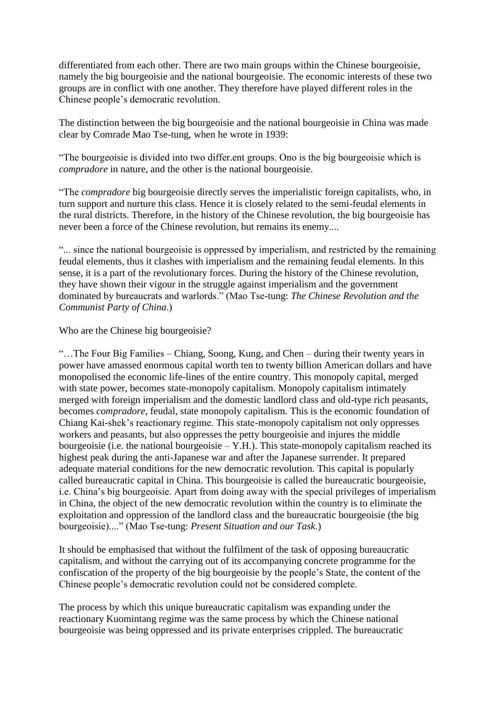differentiated from each other. There are two main groups within the Chinese bourgeoisie, namely the big bourgeoisie and the national bourgeoisie. The economic interests of these two groups are in conflict with one another. They therefore have played different roles in the Chinese people's democratic revolution.

The distinction between the big bourgeoisie and the national bourgeoisie in China was made clear by Comrade Mao Tse-tung, when he wrote in 1939:

"The bourgeoisie is divided into two differ.ent groups. Ono is the big bourgeoisie which is *compradore* in nature, and the other is the national bourgeoisie.

"The *compradore* big bourgeoisie directly serves the imperialistic foreign capitalists, who, in turn support and nurture this class. Hence it is closely related to the semi-feudal elements in the rural districts. Therefore, in the history of the Chinese revolution, the big bourgeoisie has never been a force of the Chinese revolution, but remains its enemy....

"... since the national bourgeoisie is oppressed by imperialism, and restricted by the remaining feudal elements, thus it clashes with imperialism and the remaining feudal elements. In this sense, it is a part of the revolutionary forces. During the history of the Chinese revolution, they have shown their vigour in the struggle against imperialism and the government dominated by bureaucrats and warlords." (Mao Tse-tung: *The Chinese Revolution and the Communist Party of China*.)

Who are the Chinese big bourgeoisie?

"…The Four Big Families – Chiang, Soong, Kung, and Chen – during their twenty years in power have amassed enormous capital worth ten to twenty billion American dollars and have monopolised the economic life-lines of the entire country. This monopoly capital, merged with state power, becomes state-monopoly capitalism. Monopoly capitalism intimately merged with foreign imperialism and the domestic landlord class and old-type rich peasants, becomes *compradore*, feudal, state monopoly capitalism. This is the economic foundation of Chiang Kai-shek's reactionary regime. This state-monopoly capitalism not only oppresses workers and peasants, but also oppresses the petty bourgeoisie and injures the middle bourgeoisie (i.e. the national bourgeoisie – Y.H.). This state-monopoly capitalism reached its highest peak during the anti-Japanese war and after the Japanese surrender. It prepared adequate material conditions for the new democratic revolution. This capital is popularly called bureaucratic capital in China. This bourgeoisie is called the bureaucratic bourgeoisie, i.e. China's big bourgeoisie. Apart from doing away with the special privileges of imperialism in China, the object of the new democratic revolution within the country is to eliminate the exploitation and oppression of the landlord class and the bureaucratic bourgeoisie (the big bourgeoisie)...." (Mao Tse-tung: *Present Situation and our Task*.)

It should be emphasised that without the fulfilment of the task of opposing bureaucratic capitalism, and without the carrying out of its accompanying concrete programme for the confiscation of the property of the big bourgeoisie by the people's State, the content of the Chinese people's democratic revolution could not be considered complete.

The process by which this unique bureaucratic capitalism was expanding under the reactionary Kuomintang regime was the same process by which the Chinese national bourgeoisie was being oppressed and its private enterprises crippled. The bureaucratic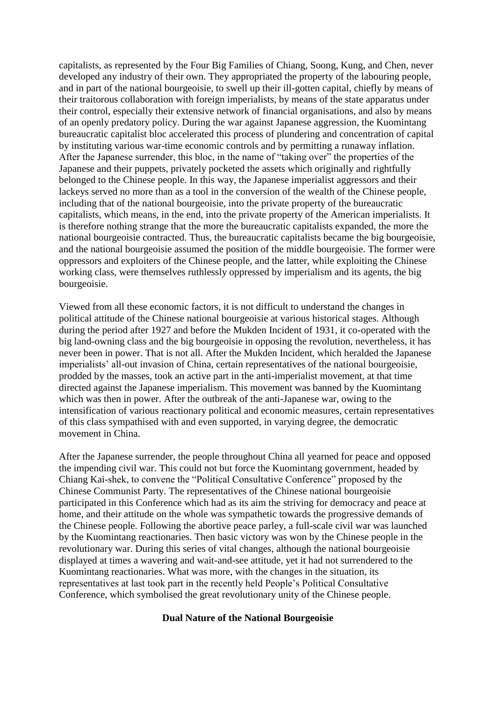capitalists, as represented by the Four Big Families of Chiang, Soong, Kung, and Chen, never developed any industry of their own. They appropriated the property of the labouring people, and in part of the national bourgeoisie, to swell up their ill-gotten capital, chiefly by means of their traitorous collaboration with foreign imperialists, by means of the state apparatus under their control, especially their extensive network of financial organisations, and also by means of an openly predatory policy. During the war against Japanese aggression, the Kuomintang bureaucratic capitalist bloc accelerated this process of plundering and concentration of capital by instituting various war-time economic controls and by permitting a runaway inflation. After the Japanese surrender, this bloc, in the name of "taking over" the properties of the Japanese and their puppets, privately pocketed the assets which originally and rightfully belonged to the Chinese people. In this way, the Japanese imperialist aggressors and their lackeys served no more than as a tool in the conversion of the wealth of the Chinese people, including that of the national bourgeoisie, into the private property of the bureaucratic capitalists, which means, in the end, into the private property of the American imperialists. It is therefore nothing strange that the more the bureaucratic capitalists expanded, the more the national bourgeoisie contracted. Thus, the bureaucratic capitalists became the big bourgeoisie, and the national bourgeoisie assumed the position of the middle bourgeoisie. The former were oppressors and exploiters of the Chinese people, and the latter, while exploiting the Chinese working class, were themselves ruthlessly oppressed by imperialism and its agents, the big bourgeoisie.

Viewed from all these economic factors, it is not difficult to understand the changes in political attitude of the Chinese national bourgeoisie at various historical stages. Although during the period after 1927 and before the Mukden Incident of 1931, it co-operated with the big land-owning class and the big bourgeoisie in opposing the revolution, nevertheless, it has never been in power. That is not all. After the Mukden Incident, which heralded the Japanese imperialists' all-out invasion of China, certain representatives of the national bourgeoisie, prodded by the masses, took an active part in the anti-imperialist movement, at that time directed against the Japanese imperialism. This movement was banned by the Kuomintang which was then in power. After the outbreak of the anti-Japanese war, owing to the intensification of various reactionary political and economic measures, certain representatives of this class sympathised with and even supported, in varying degree, the democratic movement in China.

After the Japanese surrender, the people throughout China all yearned for peace and opposed the impending civil war. This could not but force the Kuomintang government, headed by Chiang Kai-shek, to convene the "Political Consultative Conference" proposed by the Chinese Communist Party. The representatives of the Chinese national bourgeoisie participated in this Conference which had as its aim the striving for democracy and peace at home, and their attitude on the whole was sympathetic towards the progressive demands of the Chinese people. Following the abortive peace parley, a full-scale civil war was launched by the Kuomintang reactionaries. Then basic victory was won by the Chinese people in the revolutionary war. During this series of vital changes, although the national bourgeoisie displayed at times a wavering and wait-and-see attitude, yet it had not surrendered to the Kuomintang reactionaries. What was more, with the changes in the situation, its representatives at last took part in the recently held People's Political Consultative Conference, which symbolised the great revolutionary unity of the Chinese people.

#### **Dual Nature of the National Bourgeoisie**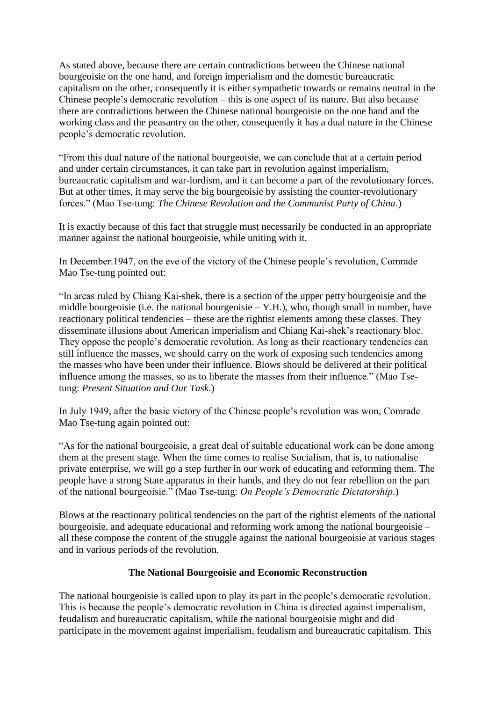As stated above, because there are certain contradictions between the Chinese national bourgeoisie on the one hand, and foreign imperialism and the domestic bureaucratic capitalism on the other, consequently it is either sympathetic towards or remains neutral in the Chinese people's democratic revolution – this is one aspect of its nature. But also because there are contradictions between the Chinese national bourgeoisie on the one hand and the working class and the peasantry on the other, consequently it has a dual nature in the Chinese people's democratic revolution.

"From this dual nature of the national bourgeoisie, we can conclude that at a certain period and under certain circumstances, it can take part in revolution against imperialism, bureaucratic capitalism and war-lordism, and it can become a part of the revolutionary forces. But at other times, it may serve the big bourgeoisie by assisting the counter-revolutionary forces." (Mao Tse-tung: *The Chinese Revolution and the Communist Party of China*.)

It is exactly because of this fact that struggle must necessarily be conducted in an appropriate manner against the national bourgeoisie, while uniting with it.

In December.1947, on the eve of the victory of the Chinese people's revolution, Comrade Mao Tse-tung pointed out:

"In areas ruled by Chiang Kai-shek, there is a section of the upper petty bourgeoisie and the middle bourgeoisie (i.e. the national bourgeoisie  $-$  Y.H.), who, though small in number, have reactionary political tendencies – these are the rightist elements among these classes. They disseminate illusions about American imperialism and Chiang Kai-shek's reactionary bloc. They oppose the people's democratic revolution. As long as their reactionary tendencies can still influence the masses, we should carry on the work of exposing such tendencies among the masses who have been under their influence. Blows should be delivered at their political influence among the masses, so as to liberate the masses from their influence." (Mao Tsetung: *Present Situation and Our Task*.)

In July 1949, after the basic victory of the Chinese people's revolution was won, Comrade Mao Tse-tung again pointed out:

"As for the national bourgeoisie, a great deal of suitable educational work can be done among them at the present stage. When the time comes to realise Socialism, that is, to nationalise private enterprise, we will go a step further in our work of educating and reforming them. The people have a strong State apparatus in their hands, and they do not fear rebellion on the part of the national bourgeoisie." (Mao Tse-tung: *On People's Democratic Dictatorship*.)

Blows at the reactionary political tendencies on the part of the rightist elements of the national bourgeoisie, and adequate educational and reforming work among the national bourgeoisie – all these compose the content of the struggle against the national bourgeoisie at various stages and in various periods of the revolution.

### **The National Bourgeoisie and Economic Reconstruction**

The national bourgeoisie is called upon to play its part in the people's democratic revolution. This is because the people's democratic revolution in China is directed against imperialism, feudalism and bureaucratic capitalism, while the national bourgeoisie might and did participate in the movement against imperialism, feudalism and bureaucratic capitalism. This